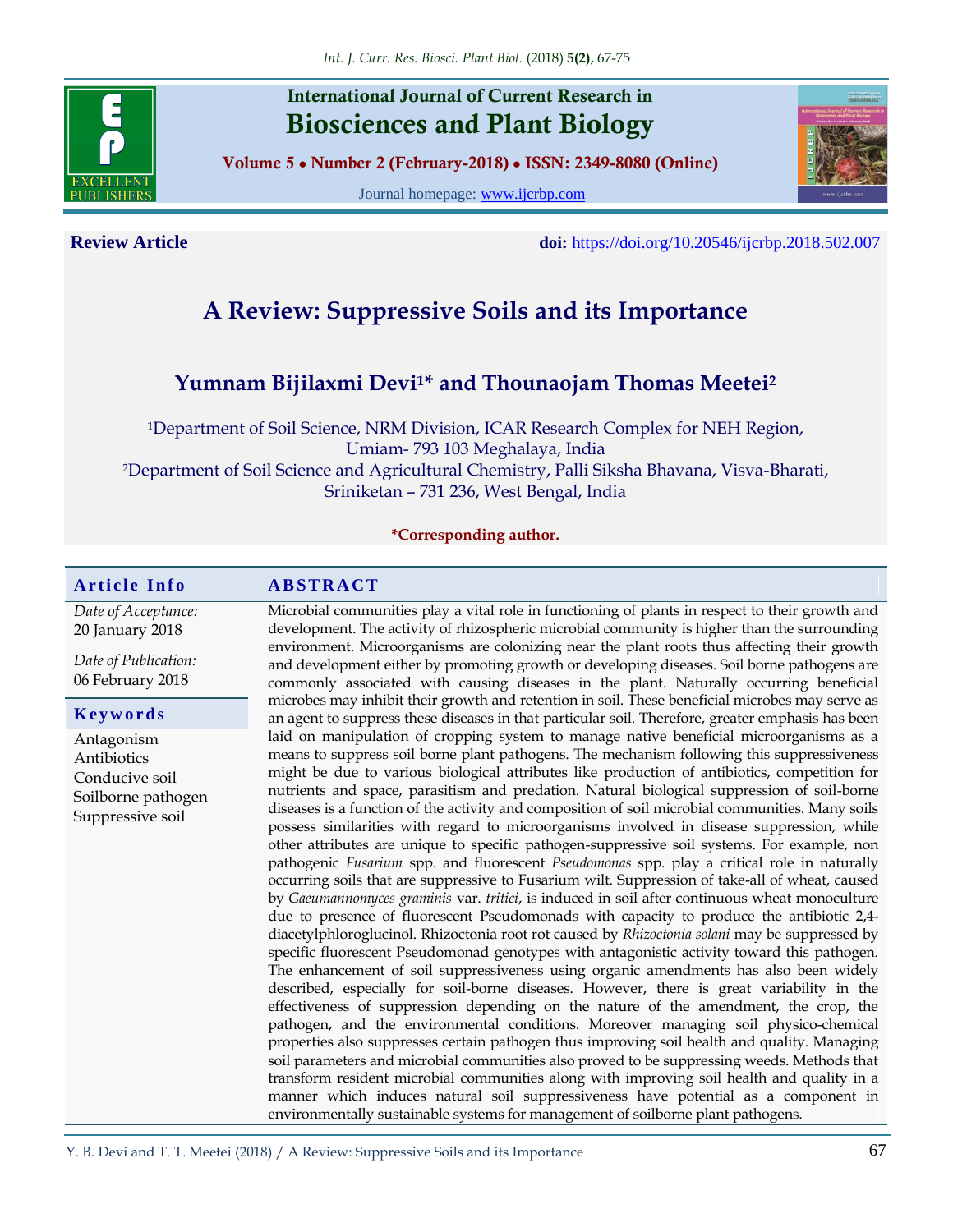

**International Journal of Current Research in Biosciences and Plant Biology**

**Volume 5 ● Number 2 (February-2018) ● ISSN: 2349-8080 (Online)**

Journal homepage: [www.ijcrbp.com](http://www.ijcrbp.com/)



**Review Article doi:** <https://doi.org/10.20546/ijcrbp.2018.502.007>

# **A Review: Suppressive Soils and its Importance**

## **Yumnam Bijilaxmi Devi1\* and Thounaojam Thomas Meetei<sup>2</sup>**

<sup>1</sup>Department of Soil Science, NRM Division, ICAR Research Complex for NEH Region, Umiam- 793 103 Meghalaya, India <sup>2</sup>Department of Soil Science and Agricultural Chemistry, Palli Siksha Bhavana, Visva-Bharati, Sriniketan – 731 236, West Bengal, India

**\*Corresponding author.**

#### **A r t i c l e I n f o A B S T R A C T** *Date of Acceptance:* 20 January 2018 *Date of Publication:* 06 February 2018 Microbial communities play a vital role in functioning of plants in respect to their growth and development. The activity of rhizospheric microbial community is higher than the surrounding environment. Microorganisms are colonizing near the plant roots thus affecting their growth and development either by promoting growth or developing diseases. Soil borne pathogens are commonly associated with causing diseases in the plant. Naturally occurring beneficial microbes may inhibit their growth and retention in soil. These beneficial microbes may serve as an agent to suppress these diseases in that particular soil. Therefore, greater emphasis has been laid on manipulation of cropping system to manage native beneficial microorganisms as a means to suppress soil borne plant pathogens. The mechanism following this suppressiveness might be due to various biological attributes like production of antibiotics, competition for nutrients and space, parasitism and predation. Natural biological suppression of soil-borne diseases is a function of the activity and composition of soil microbial communities. Many soils possess similarities with regard to microorganisms involved in disease suppression, while other attributes are unique to specific pathogen-suppressive soil systems. For example, non pathogenic *Fusarium* spp. and fluorescent *Pseudomonas* spp. play a critical role in naturally occurring soils that are suppressive to Fusarium wilt. Suppression of take-all of wheat, caused by *Gaeumannomyces graminis* var. *tritici*, is induced in soil after continuous wheat monoculture due to presence of fluorescent Pseudomonads with capacity to produce the antibiotic 2,4 diacetylphloroglucinol. Rhizoctonia root rot caused by *Rhizoctonia solani* may be suppressed by specific fluorescent Pseudomonad genotypes with antagonistic activity toward this pathogen. The enhancement of soil suppressiveness using organic amendments has also been widely described, especially for soil-borne diseases. However, there is great variability in the effectiveness of suppression depending on the nature of the amendment, the crop, the pathogen, and the environmental conditions. Moreover managing soil physico-chemical properties also suppresses certain pathogen thus improving soil health and quality. Managing soil parameters and microbial communities also proved to be suppressing weeds. Methods that transform resident microbial communities along with improving soil health and quality in a manner which induces natural soil suppressiveness have potential as a component in environmentally sustainable systems for management of soilborne plant pathogens. **K e y w o r d s** Antagonism Antibiotics Conducive soil Soilborne pathogen Suppressive soil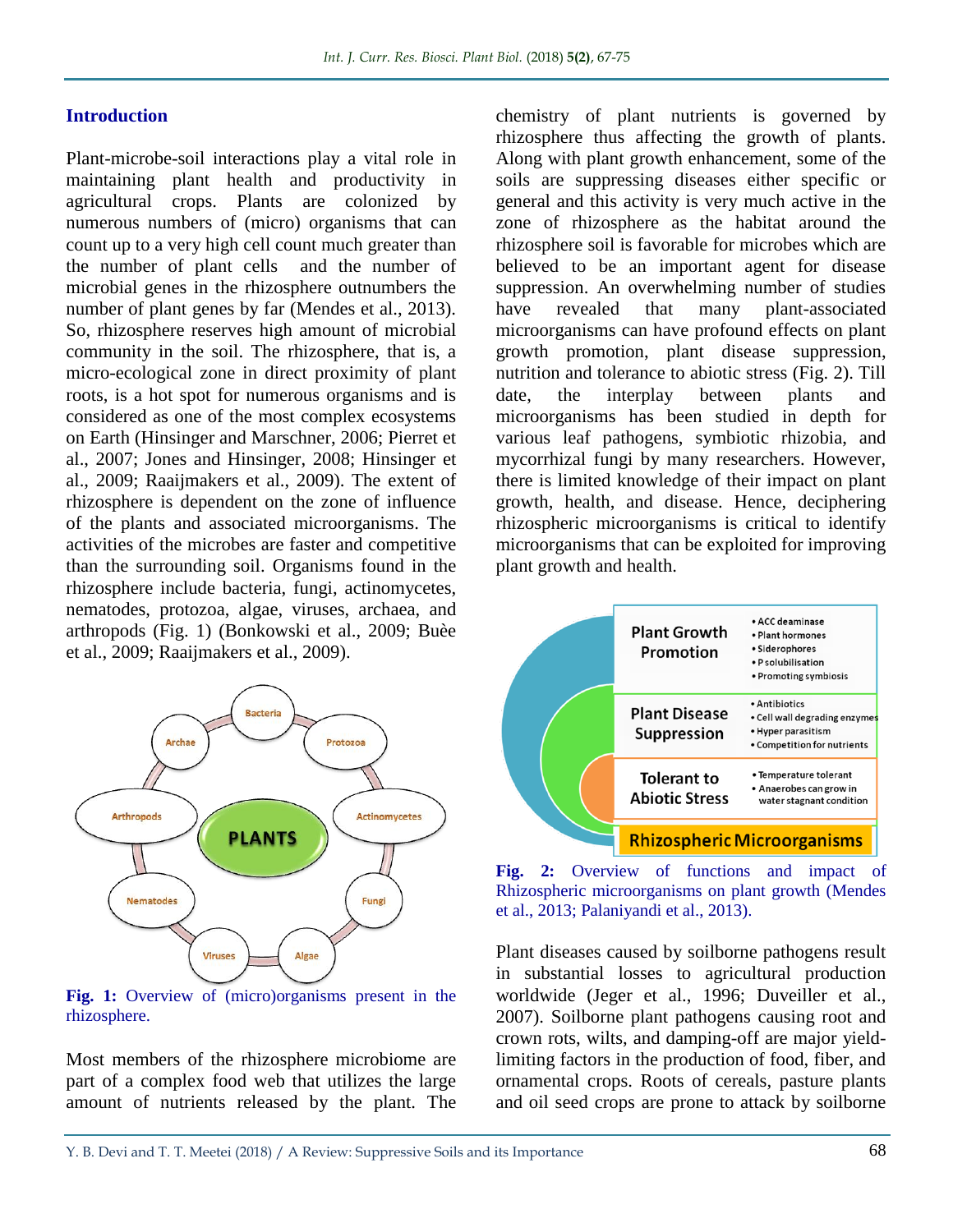#### **Introduction**

Plant-microbe-soil interactions play a vital role in maintaining plant health and productivity in agricultural crops. Plants are colonized by numerous numbers of (micro) organisms that can count up to a very high cell count much greater than the number of plant cells and the number of microbial genes in the rhizosphere outnumbers the number of plant genes by far (Mendes et al., 2013). So, rhizosphere reserves high amount of microbial community in the soil. The rhizosphere, that is, a micro-ecological zone in direct proximity of plant roots, is a hot spot for numerous organisms and is considered as one of the most complex ecosystems on Earth (Hinsinger and Marschner, 2006; Pierret et al., 2007; Jones and Hinsinger, 2008; Hinsinger et al., 2009; Raaijmakers et al., 2009). The extent of rhizosphere is dependent on the zone of influence of the plants and associated microorganisms. The activities of the microbes are faster and competitive than the surrounding soil. Organisms found in the rhizosphere include bacteria, fungi, actinomycetes, nematodes, protozoa, algae, viruses, archaea, and arthropods (Fig. 1) (Bonkowski et al., 2009; Buèe et al., 2009; Raaijmakers et al., 2009).



**Fig. 1:** Overview of (micro)organisms present in the rhizosphere.

Most members of the rhizosphere microbiome are part of a complex food web that utilizes the large amount of nutrients released by the plant. The

chemistry of plant nutrients is governed by rhizosphere thus affecting the growth of plants. Along with plant growth enhancement, some of the soils are suppressing diseases either specific or general and this activity is very much active in the zone of rhizosphere as the habitat around the rhizosphere soil is favorable for microbes which are believed to be an important agent for disease suppression. An overwhelming number of studies have revealed that many plant-associated microorganisms can have profound effects on plant growth promotion, plant disease suppression, nutrition and tolerance to abiotic stress (Fig. 2). Till date, the interplay between plants and microorganisms has been studied in depth for various leaf pathogens, symbiotic rhizobia, and mycorrhizal fungi by many researchers. However, there is limited knowledge of their impact on plant growth, health, and disease. Hence, deciphering rhizospheric microorganisms is critical to identify microorganisms that can be exploited for improving plant growth and health.



**Fig. 2:** Overview of functions and impact of Rhizospheric microorganisms on plant growth (Mendes et al., 2013; Palaniyandi et al., 2013).

Plant diseases caused by soilborne pathogens result in substantial losses to agricultural production worldwide (Jeger et al., 1996; Duveiller et al., 2007). Soilborne plant pathogens causing root and crown rots, wilts, and damping-off are major yieldlimiting factors in the production of food, fiber, and ornamental crops. Roots of cereals, pasture plants and oil seed crops are prone to attack by soilborne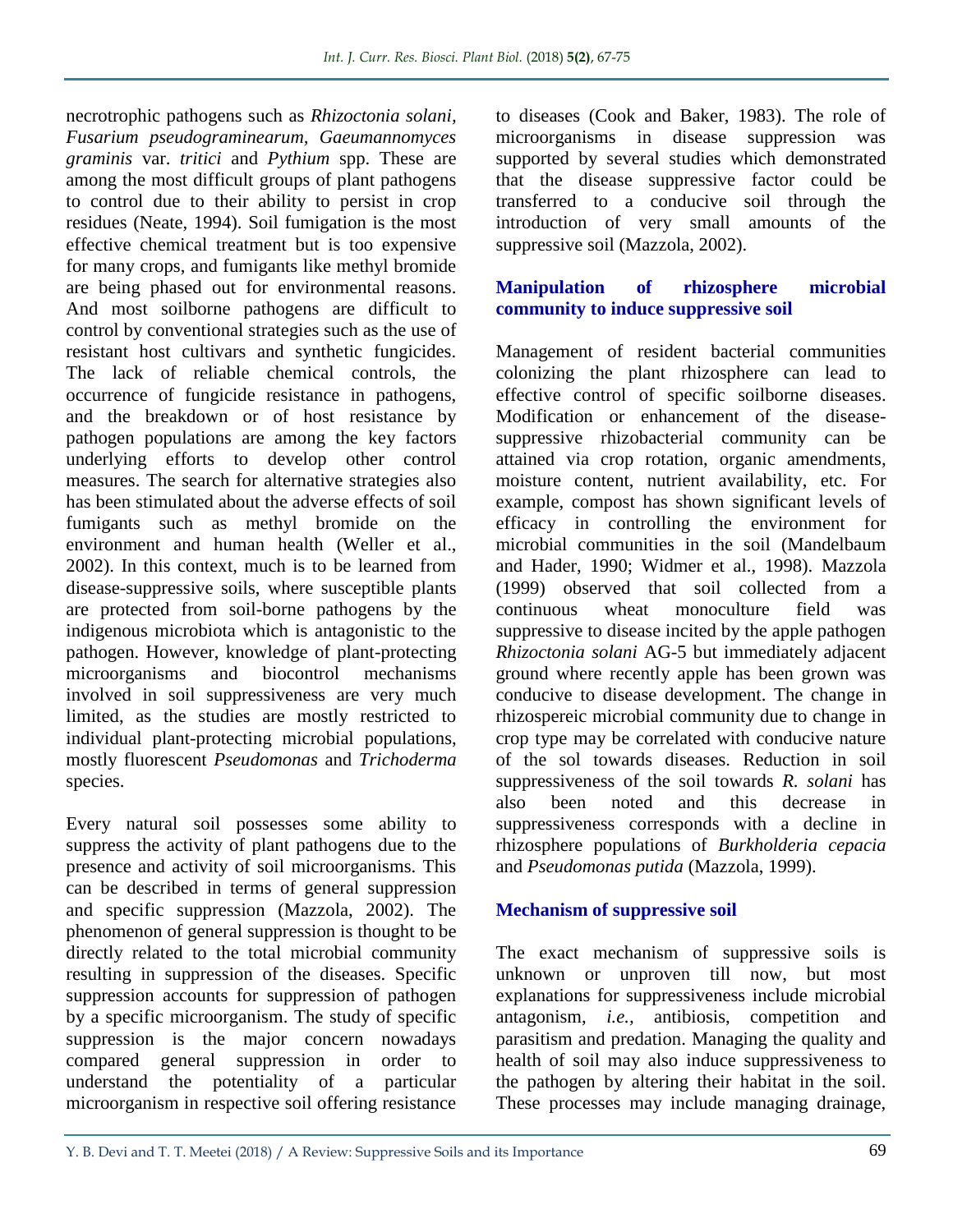necrotrophic pathogens such as *Rhizoctonia solani, Fusarium pseudograminearum, Gaeumannomyces graminis* var. *tritici* and *Pythium* spp. These are among the most difficult groups of plant pathogens to control due to their ability to persist in crop residues (Neate, 1994). Soil fumigation is the most effective chemical treatment but is too expensive for many crops, and fumigants like methyl bromide are being phased out for environmental reasons. And most soilborne pathogens are difficult to control by conventional strategies such as the use of resistant host cultivars and synthetic fungicides. The lack of reliable chemical controls, the occurrence of fungicide resistance in pathogens, and the breakdown or of host resistance by pathogen populations are among the key factors underlying efforts to develop other control measures. The search for alternative strategies also has been stimulated about the adverse effects of soil fumigants such as methyl bromide on the environment and human health (Weller et al., 2002). In this context, much is to be learned from disease-suppressive soils, where susceptible plants are protected from soil-borne pathogens by the indigenous microbiota which is antagonistic to the pathogen. However, knowledge of plant-protecting microorganisms and biocontrol mechanisms involved in soil suppressiveness are very much limited, as the studies are mostly restricted to individual plant-protecting microbial populations, mostly fluorescent *Pseudomonas* and *Trichoderma* species.

Every natural soil possesses some ability to suppress the activity of plant pathogens due to the presence and activity of soil microorganisms. This can be described in terms of general suppression and specific suppression (Mazzola, 2002). The phenomenon of general suppression is thought to be directly related to the total microbial community resulting in suppression of the diseases. Specific suppression accounts for suppression of pathogen by a specific microorganism. The study of specific suppression is the major concern nowadays compared general suppression in order to understand the potentiality of a particular microorganism in respective soil offering resistance

to diseases (Cook and Baker, 1983). The role of microorganisms in disease suppression was supported by several studies which demonstrated that the disease suppressive factor could be transferred to a conducive soil through the introduction of very small amounts of the suppressive soil (Mazzola, 2002).

#### **Manipulation of rhizosphere microbial community to induce suppressive soil**

Management of resident bacterial communities colonizing the plant rhizosphere can lead to effective control of specific soilborne diseases. Modification or enhancement of the diseasesuppressive rhizobacterial community can be attained via crop rotation, organic amendments, moisture content, nutrient availability, etc. For example, compost has shown significant levels of efficacy in controlling the environment for microbial communities in the soil (Mandelbaum and Hader, 1990; Widmer et al., 1998). Mazzola (1999) observed that soil collected from a continuous wheat monoculture field was suppressive to disease incited by the apple pathogen *Rhizoctonia solani* AG-5 but immediately adjacent ground where recently apple has been grown was conducive to disease development. The change in rhizospereic microbial community due to change in crop type may be correlated with conducive nature of the sol towards diseases. Reduction in soil suppressiveness of the soil towards *R. solani* has also been noted and this decrease in suppressiveness corresponds with a decline in rhizosphere populations of *Burkholderia cepacia*  and *Pseudomonas putida* (Mazzola, 1999).

### **Mechanism of suppressive soil**

The exact mechanism of suppressive soils is unknown or unproven till now, but most explanations for suppressiveness include microbial antagonism, *i.e.,* antibiosis, competition and parasitism and predation. Managing the quality and health of soil may also induce suppressiveness to the pathogen by altering their habitat in the soil. These processes may include managing drainage,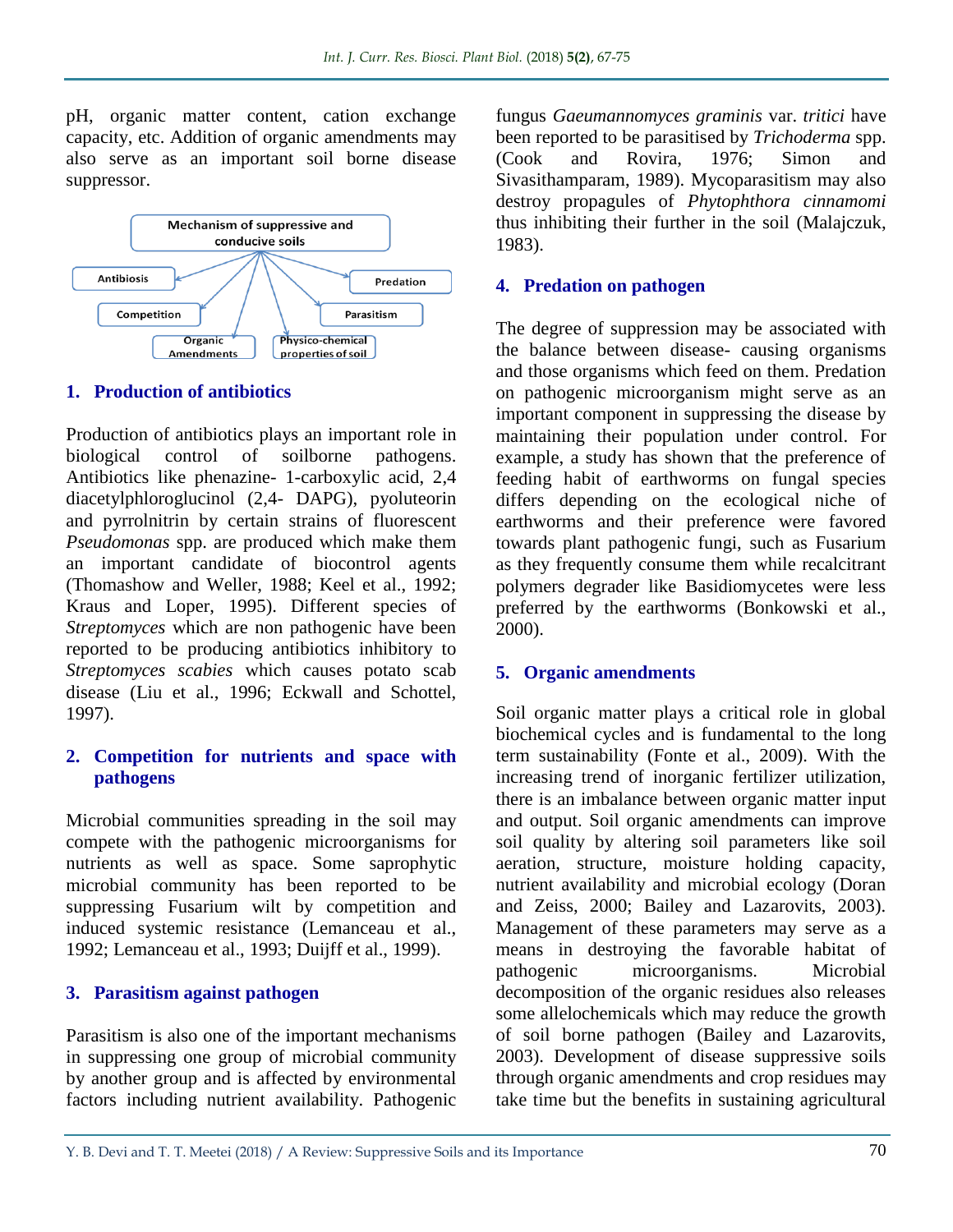pH, organic matter content, cation exchange capacity, etc. Addition of organic amendments may also serve as an important soil borne disease suppressor.



#### **1. Production of antibiotics**

Production of antibiotics plays an important role in biological control of soilborne pathogens. Antibiotics like phenazine- 1-carboxylic acid, 2,4 diacetylphloroglucinol (2,4- DAPG), pyoluteorin and pyrrolnitrin by certain strains of fluorescent *Pseudomonas* spp. are produced which make them an important candidate of biocontrol agents (Thomashow and Weller, 1988; Keel et al., 1992; Kraus and Loper, 1995). Different species of *Streptomyces* which are non pathogenic have been reported to be producing antibiotics inhibitory to *Streptomyces scabies* which causes potato scab disease (Liu et al., 1996; Eckwall and Schottel, 1997).

#### **2. Competition for nutrients and space with pathogens**

Microbial communities spreading in the soil may compete with the pathogenic microorganisms for nutrients as well as space. Some saprophytic microbial community has been reported to be suppressing Fusarium wilt by competition and induced systemic resistance (Lemanceau et al., 1992; Lemanceau et al., 1993; Duijff et al., 1999).

#### **3. Parasitism against pathogen**

Parasitism is also one of the important mechanisms in suppressing one group of microbial community by another group and is affected by environmental factors including nutrient availability. Pathogenic fungus *Gaeumannomyces graminis* var. *tritici* have been reported to be parasitised by *Trichoderma* spp. (Cook and Rovira, 1976; Simon and Sivasithamparam, 1989). Mycoparasitism may also destroy propagules of *Phytophthora cinnamomi*  thus inhibiting their further in the soil (Malajczuk, 1983).

#### **4. Predation on pathogen**

The degree of suppression may be associated with the balance between disease- causing organisms and those organisms which feed on them. Predation on pathogenic microorganism might serve as an important component in suppressing the disease by maintaining their population under control. For example, a study has shown that the preference of feeding habit of earthworms on fungal species differs depending on the ecological niche of earthworms and their preference were favored towards plant pathogenic fungi, such as Fusarium as they frequently consume them while recalcitrant polymers degrader like Basidiomycetes were less preferred by the earthworms (Bonkowski et al., 2000).

#### **5. Organic amendments**

Soil organic matter plays a critical role in global biochemical cycles and is fundamental to the long term sustainability (Fonte et al., 2009). With the increasing trend of inorganic fertilizer utilization, there is an imbalance between organic matter input and output. Soil organic amendments can improve soil quality by altering soil parameters like soil aeration, structure, moisture holding capacity, nutrient availability and microbial ecology (Doran and Zeiss, 2000; Bailey and Lazarovits, 2003). Management of these parameters may serve as a means in destroying the favorable habitat of pathogenic microorganisms. Microbial decomposition of the organic residues also releases some allelochemicals which may reduce the growth of soil borne pathogen (Bailey and Lazarovits, 2003). Development of disease suppressive soils through organic amendments and crop residues may take time but the benefits in sustaining agricultural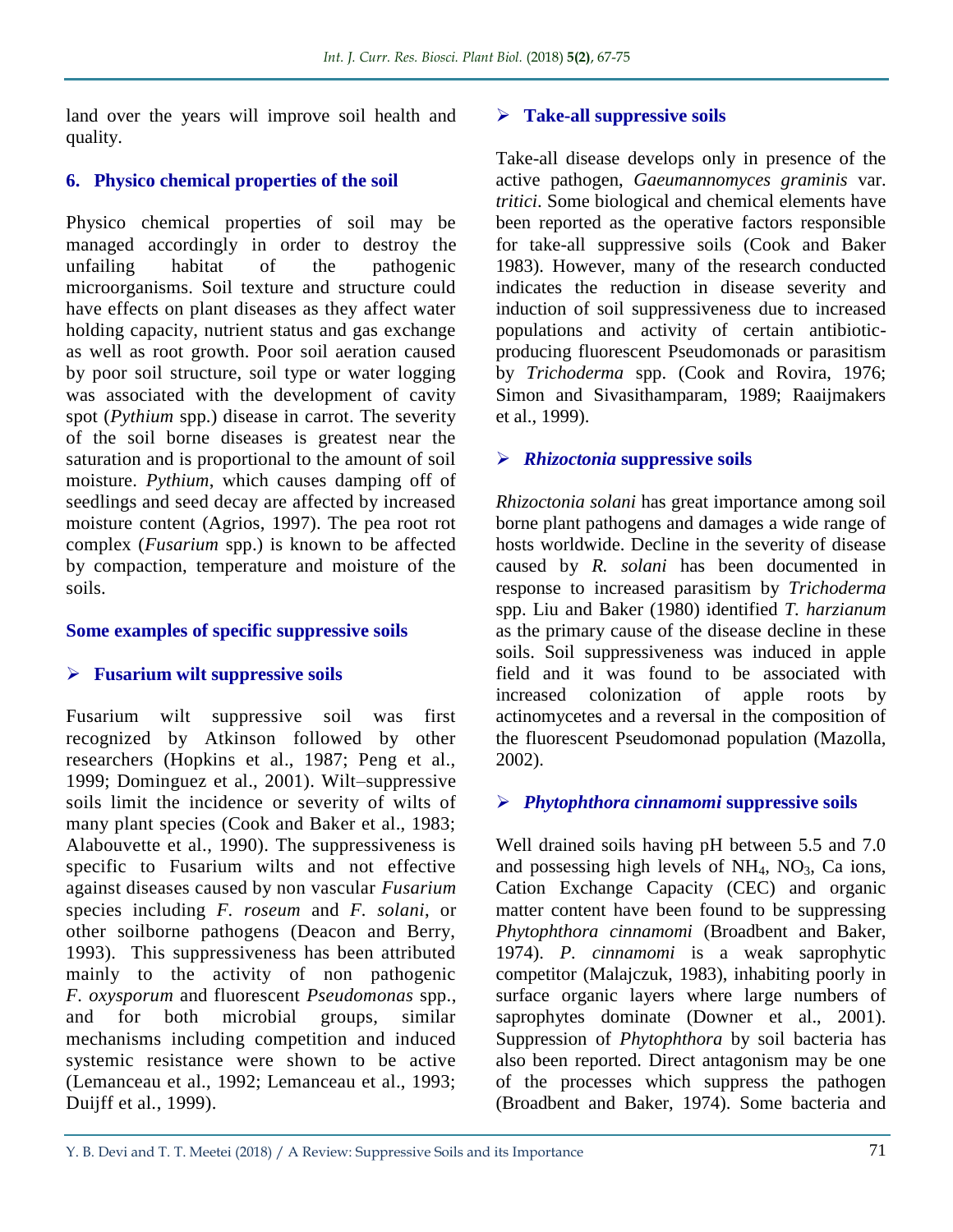land over the years will improve soil health and quality.

#### **6. Physico chemical properties of the soil**

Physico chemical properties of soil may be managed accordingly in order to destroy the unfailing habitat of the pathogenic microorganisms. Soil texture and structure could have effects on plant diseases as they affect water holding capacity, nutrient status and gas exchange as well as root growth. Poor soil aeration caused by poor soil structure, soil type or water logging was associated with the development of cavity spot (*Pythium* spp.) disease in carrot. The severity of the soil borne diseases is greatest near the saturation and is proportional to the amount of soil moisture. *Pythium*, which causes damping off of seedlings and seed decay are affected by increased moisture content (Agrios, 1997). The pea root rot complex (*Fusarium* spp.) is known to be affected by compaction, temperature and moisture of the soils.

#### **Some examples of specific suppressive soils**

### **Fusarium wilt suppressive soils**

Fusarium wilt suppressive soil was first recognized by Atkinson followed by other researchers (Hopkins et al., 1987; Peng et al., 1999; Dominguez et al., 2001). Wilt–suppressive soils limit the incidence or severity of wilts of many plant species (Cook and Baker et al., 1983; Alabouvette et al., 1990). The suppressiveness is specific to Fusarium wilts and not effective against diseases caused by non vascular *Fusarium* species including *F. roseum* and *F. solani*, or other soilborne pathogens (Deacon and Berry, 1993). This suppressiveness has been attributed mainly to the activity of non pathogenic *F. oxysporum* and fluorescent *Pseudomonas* spp., and for both microbial groups, similar mechanisms including competition and induced systemic resistance were shown to be active (Lemanceau et al., 1992; Lemanceau et al., 1993; Duijff et al., 1999).

#### **Take-all suppressive soils**

Take-all disease develops only in presence of the active pathogen, *Gaeumannomyces graminis* var. *tritici*. Some biological and chemical elements have been reported as the operative factors responsible for take-all suppressive soils (Cook and Baker 1983). However, many of the research conducted indicates the reduction in disease severity and induction of soil suppressiveness due to increased populations and activity of certain antibioticproducing fluorescent Pseudomonads or parasitism by *Trichoderma* spp. (Cook and Rovira, 1976; Simon and Sivasithamparam, 1989; Raaijmakers et al., 1999).

#### *Rhizoctonia* **suppressive soils**

*Rhizoctonia solani* has great importance among soil borne plant pathogens and damages a wide range of hosts worldwide. Decline in the severity of disease caused by *R. solani* has been documented in response to increased parasitism by *Trichoderma*  spp. Liu and Baker (1980) identified *T. harzianum*  as the primary cause of the disease decline in these soils. Soil suppressiveness was induced in apple field and it was found to be associated with increased colonization of apple roots by actinomycetes and a reversal in the composition of the fluorescent Pseudomonad population (Mazolla, 2002).

### *Phytophthora cinnamomi* **suppressive soils**

Well drained soils having pH between 5.5 and 7.0 and possessing high levels of  $NH_4$ ,  $NO_3$ , Ca ions, Cation Exchange Capacity (CEC) and organic matter content have been found to be suppressing *Phytophthora cinnamomi* (Broadbent and Baker, 1974). *P. cinnamomi* is a weak saprophytic competitor (Malajczuk, 1983), inhabiting poorly in surface organic layers where large numbers of saprophytes dominate (Downer et al., 2001). Suppression of *Phytophthora* by soil bacteria has also been reported. Direct antagonism may be one of the processes which suppress the pathogen (Broadbent and Baker, 1974). Some bacteria and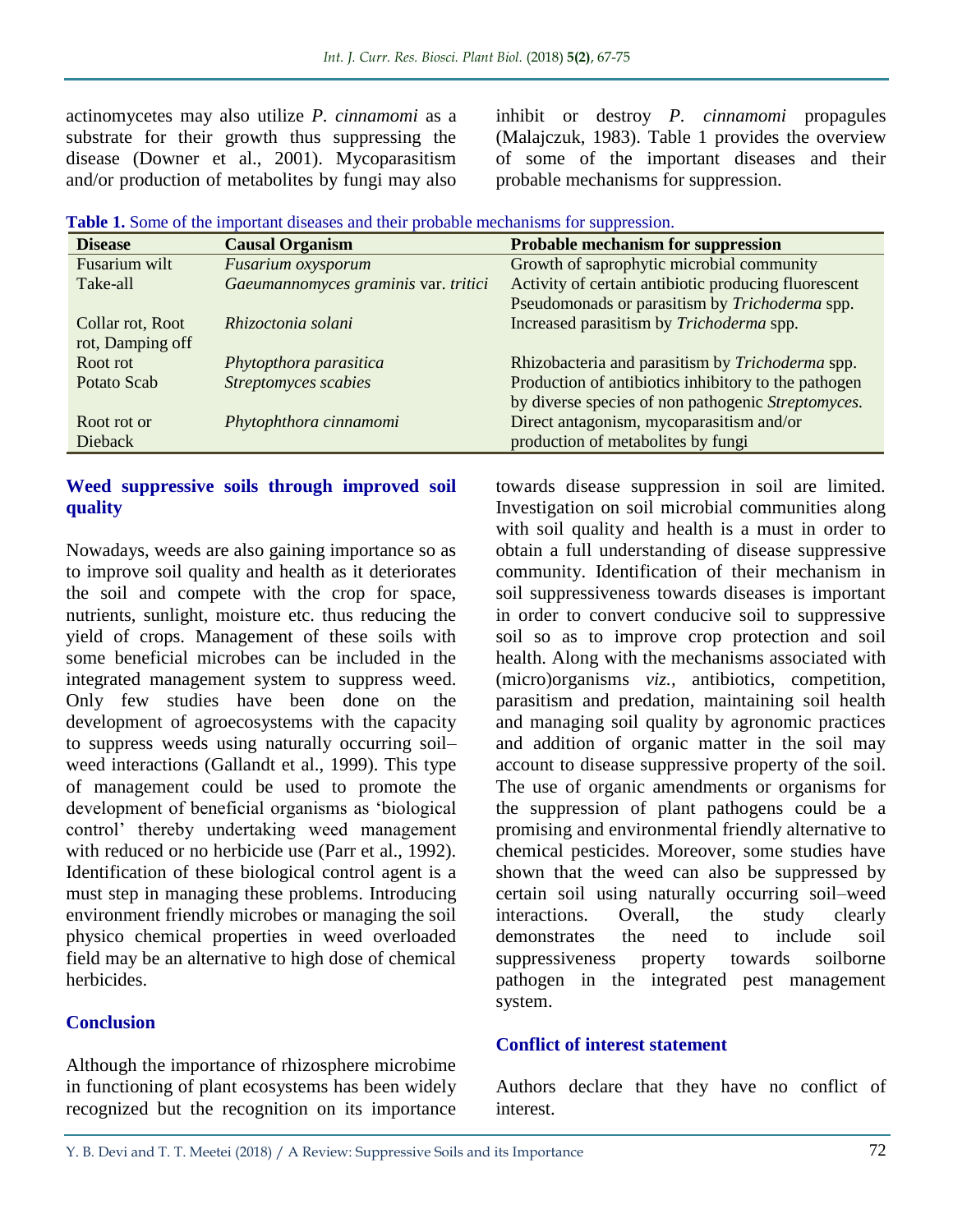actinomycetes may also utilize *P. cinnamomi* as a substrate for their growth thus suppressing the disease (Downer et al., 2001). Mycoparasitism and/or production of metabolites by fungi may also

inhibit or destroy *P. cinnamomi* propagules (Malajczuk, 1983). Table 1 provides the overview of some of the important diseases and their probable mechanisms for suppression.

| <b>Disease</b>   | <b>Causal Organism</b>               | <b>Probable mechanism for suppression</b>            |
|------------------|--------------------------------------|------------------------------------------------------|
| Fusarium wilt    | Fusarium oxysporum                   | Growth of saprophytic microbial community            |
| Take-all         | Gaeumannomyces graminis var. tritici | Activity of certain antibiotic producing fluorescent |
|                  |                                      | Pseudomonads or parasitism by Trichoderma spp.       |
| Collar rot, Root | Rhizoctonia solani                   | Increased parasitism by Trichoderma spp.             |
| rot, Damping off |                                      |                                                      |
| Root rot         | Phytopthora parasitica               | Rhizobacteria and parasitism by Trichoderma spp.     |
| Potato Scab      | Streptomyces scabies                 | Production of antibiotics inhibitory to the pathogen |
|                  |                                      | by diverse species of non pathogenic Streptomyces.   |
| Root rot or      | Phytophthora cinnamomi               | Direct antagonism, mycoparasitism and/or             |
| <b>Dieback</b>   |                                      | production of metabolites by fungi                   |

**Table 1.** Some of the important diseases and their probable mechanisms for suppression.

#### **Weed suppressive soils through improved soil quality**

Nowadays, weeds are also gaining importance so as to improve soil quality and health as it deteriorates the soil and compete with the crop for space, nutrients, sunlight, moisture etc. thus reducing the yield of crops. Management of these soils with some beneficial microbes can be included in the integrated management system to suppress weed. Only few studies have been done on the development of agroecosystems with the capacity to suppress weeds using naturally occurring soil– weed interactions (Gallandt et al., 1999). This type of management could be used to promote the development of beneficial organisms as 'biological control' thereby undertaking weed management with reduced or no herbicide use (Parr et al., 1992). Identification of these biological control agent is a must step in managing these problems. Introducing environment friendly microbes or managing the soil physico chemical properties in weed overloaded field may be an alternative to high dose of chemical herbicides.

#### **Conclusion**

Although the importance of rhizosphere microbime in functioning of plant ecosystems has been widely recognized but the recognition on its importance

towards disease suppression in soil are limited. Investigation on soil microbial communities along with soil quality and health is a must in order to obtain a full understanding of disease suppressive community. Identification of their mechanism in soil suppressiveness towards diseases is important in order to convert conducive soil to suppressive soil so as to improve crop protection and soil health. Along with the mechanisms associated with (micro)organisms *viz.,* antibiotics, competition, parasitism and predation, maintaining soil health and managing soil quality by agronomic practices and addition of organic matter in the soil may account to disease suppressive property of the soil. The use of organic amendments or organisms for the suppression of plant pathogens could be a promising and environmental friendly alternative to chemical pesticides. Moreover, some studies have shown that the weed can also be suppressed by certain soil using naturally occurring soil–weed interactions. Overall, the study clearly demonstrates the need to include soil suppressiveness property towards soilborne pathogen in the integrated pest management system.

#### **Conflict of interest statement**

Authors declare that they have no conflict of interest.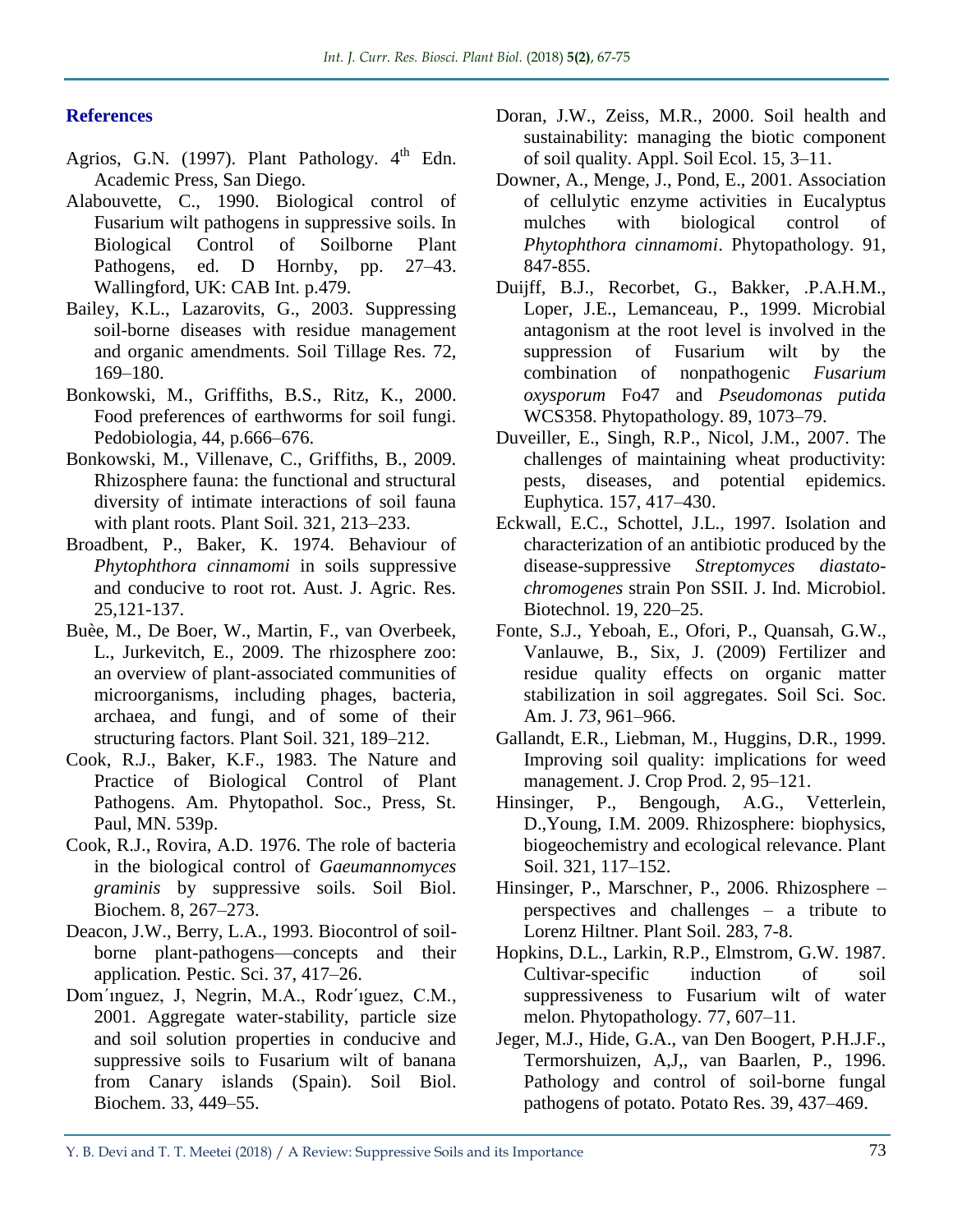#### **References**

- Agrios, G.N. (1997). Plant Pathology.  $4<sup>th</sup>$  Edn. Academic Press, San Diego.
- Alabouvette, C., 1990. Biological control of Fusarium wilt pathogens in suppressive soils. In Biological Control of Soilborne Plant Pathogens, ed. D Hornby, pp. 27–43. Wallingford, UK: CAB Int. p.479.
- Bailey, K.L., Lazarovits, G., 2003. Suppressing soil-borne diseases with residue management and organic amendments. Soil Tillage Res. 72, 169–180.
- Bonkowski, M., Griffiths, B.S., Ritz, K., 2000. Food preferences of earthworms for soil fungi. Pedobiologia, 44, p.666–676.
- Bonkowski, M., Villenave, C., Griffiths, B., 2009. Rhizosphere fauna: the functional and structural diversity of intimate interactions of soil fauna with plant roots. Plant Soil. 321, 213–233.
- Broadbent, P., Baker, K. 1974. Behaviour of *Phytophthora cinnamomi* in soils suppressive and conducive to root rot. Aust. J. Agric. Res. 25,121-137.
- Buèe, M., De Boer, W., Martin, F., van Overbeek, L., Jurkevitch, E., 2009. The rhizosphere zoo: an overview of plant-associated communities of microorganisms, including phages, bacteria, archaea, and fungi, and of some of their structuring factors. Plant Soil. 321, 189–212.
- Cook, R.J., Baker, K.F., 1983. The Nature and Practice of Biological Control of Plant Pathogens. Am. Phytopathol. Soc., Press, St. Paul, MN. 539p.
- Cook, R.J., Rovira, A.D. 1976. The role of bacteria in the biological control of *Gaeumannomyces graminis* by suppressive soils. Soil Biol. Biochem. 8, 267–273.
- Deacon, J.W., Berry, L.A., 1993. Biocontrol of soilborne plant-pathogens—concepts and their application*.* Pestic. Sci. 37, 417–26.
- Dom´ınguez, J, Negrin, M.A., Rodr´ıguez, C.M., 2001. Aggregate water-stability, particle size and soil solution properties in conducive and suppressive soils to Fusarium wilt of banana from Canary islands (Spain). Soil Biol. Biochem. 33, 449–55.
- Doran, J.W., Zeiss, M.R., 2000. Soil health and sustainability: managing the biotic component of soil quality. Appl. Soil Ecol. 15, 3–11.
- Downer, A., Menge, J., Pond, E., 2001. Association of cellulytic enzyme activities in Eucalyptus mulches with biological control of *Phytophthora cinnamomi*. Phytopathology. 91, 847-855.
- Duijff, B.J., Recorbet, G., Bakker, .P.A.H.M., Loper, J.E., Lemanceau, P., 1999. Microbial antagonism at the root level is involved in the suppression of Fusarium wilt by the combination of nonpathogenic *Fusarium oxysporum* Fo47 and *Pseudomonas putida* WCS358. Phytopathology. 89, 1073–79.
- Duveiller, E., Singh, R.P., Nicol, J.M., 2007. The challenges of maintaining wheat productivity: pests, diseases, and potential epidemics. Euphytica. 157, 417–430.
- Eckwall, E.C., Schottel, J.L., 1997. Isolation and characterization of an antibiotic produced by the disease-suppressive *Streptomyces diastatochromogenes* strain Pon SSII. J. Ind. Microbiol. Biotechnol. 19, 220–25.
- Fonte, S.J., Yeboah, E., Ofori, P., Quansah, G.W., Vanlauwe, B., Six, J. (2009) Fertilizer and residue quality effects on organic matter stabilization in soil aggregates. Soil Sci. Soc. Am. J. *73*, 961–966.
- Gallandt, E.R., Liebman, M., Huggins, D.R., 1999. Improving soil quality: implications for weed management. J. Crop Prod. 2, 95–121.
- Hinsinger, P., Bengough, A.G., Vetterlein, D.,Young, I.M. 2009. Rhizosphere: biophysics, biogeochemistry and ecological relevance. Plant Soil. 321, 117–152.
- Hinsinger, P., Marschner, P., 2006. Rhizosphere perspectives and challenges – a tribute to Lorenz Hiltner. Plant Soil. 283, 7-8.
- Hopkins, D.L., Larkin, R.P., Elmstrom, G.W. 1987. Cultivar-specific induction of soil suppressiveness to Fusarium wilt of water melon. Phytopathology*.* 77, 607–11.
- Jeger, M.J., Hide, G.A., van Den Boogert, P.H.J.F., Termorshuizen, A,J,, van Baarlen, P., 1996. Pathology and control of soil-borne fungal pathogens of potato. Potato Res. 39, 437–469.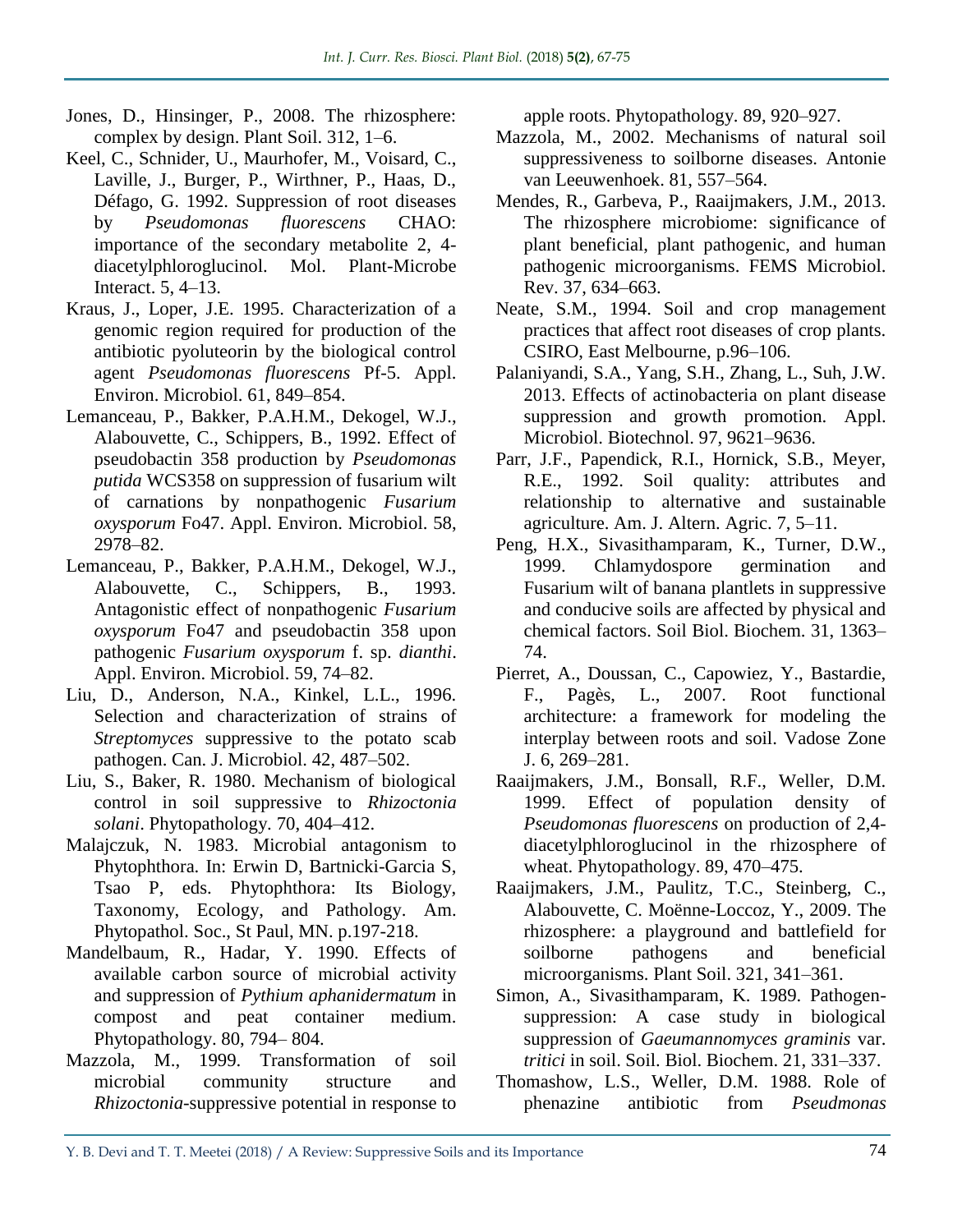- Jones, D., Hinsinger, P., 2008. The rhizosphere: complex by design. Plant Soil. 312, 1–6.
- Keel, C., Schnider, U., Maurhofer, M., Voisard, C., Laville, J., Burger, P., Wirthner, P., Haas, D., Défago, G. 1992. Suppression of root diseases by *Pseudomonas fluorescens* CHAO: importance of the secondary metabolite 2, 4 diacetylphloroglucinol. Mol. Plant-Microbe Interact. 5, 4–13.
- Kraus, J., Loper, J.E. 1995. Characterization of a genomic region required for production of the antibiotic pyoluteorin by the biological control agent *Pseudomonas fluorescens* Pf-5. Appl. Environ. Microbiol. 61, 849–854.
- Lemanceau, P., Bakker, P.A.H.M., Dekogel, W.J., Alabouvette, C., Schippers, B., 1992. Effect of pseudobactin 358 production by *Pseudomonas putida* WCS358 on suppression of fusarium wilt of carnations by nonpathogenic *Fusarium oxysporum* Fo47. Appl. Environ. Microbiol. 58, 2978–82.
- Lemanceau, P., Bakker, P.A.H.M., Dekogel, W.J., Alabouvette, C., Schippers, B., 1993. Antagonistic effect of nonpathogenic *Fusarium oxysporum* Fo47 and pseudobactin 358 upon pathogenic *Fusarium oxysporum* f. sp. *dianthi*. Appl. Environ. Microbiol. 59, 74–82.
- Liu, D., Anderson, N.A., Kinkel, L.L., 1996. Selection and characterization of strains of *Streptomyces* suppressive to the potato scab pathogen. Can. J. Microbiol. 42, 487–502.
- Liu, S., Baker, R. 1980. Mechanism of biological control in soil suppressive to *Rhizoctonia solani*. Phytopathology. 70, 404–412.
- Malajczuk, N. 1983. Microbial antagonism to Phytophthora. In: Erwin D, Bartnicki-Garcia S, Tsao P, eds. Phytophthora: Its Biology, Taxonomy, Ecology, and Pathology. Am. Phytopathol. Soc., St Paul, MN. p.197-218.
- Mandelbaum, R., Hadar, Y. 1990. Effects of available carbon source of microbial activity and suppression of *Pythium aphanidermatum* in compost and peat container medium. Phytopathology. 80, 794– 804.
- Mazzola, M., 1999. Transformation of soil microbial community structure and *Rhizoctonia*-suppressive potential in response to

apple roots. Phytopathology. 89, 920–927.

- Mazzola, M., 2002. Mechanisms of natural soil suppressiveness to soilborne diseases. Antonie van Leeuwenhoek. 81, 557–564.
- Mendes, R., Garbeva, P., Raaijmakers, J.M., 2013. The rhizosphere microbiome: significance of plant beneficial, plant pathogenic, and human pathogenic microorganisms. FEMS Microbiol. Rev. 37, 634–663.
- Neate, S.M., 1994. Soil and crop management practices that affect root diseases of crop plants. CSIRO, East Melbourne, p.96–106.
- Palaniyandi, S.A., Yang, S.H., Zhang, L., Suh, J.W. 2013. Effects of actinobacteria on plant disease suppression and growth promotion. Appl. Microbiol. Biotechnol. 97, 9621–9636.
- Parr, J.F., Papendick, R.I., Hornick, S.B., Meyer, R.E., 1992. Soil quality: attributes and relationship to alternative and sustainable agriculture. Am. J. Altern. Agric. 7, 5–11.
- Peng, H.X., Sivasithamparam, K., Turner, D.W., 1999. Chlamydospore germination and Fusarium wilt of banana plantlets in suppressive and conducive soils are affected by physical and chemical factors. Soil Biol. Biochem. 31, 1363– 74.
- Pierret, A., Doussan, C., Capowiez, Y., Bastardie, F., Pagès, L., 2007. Root functional architecture: a framework for modeling the interplay between roots and soil. Vadose Zone J. 6, 269–281.
- Raaijmakers, J.M., Bonsall, R.F., Weller, D.M. 1999. Effect of population density of *Pseudomonas fluorescens* on production of 2,4 diacetylphloroglucinol in the rhizosphere of wheat. Phytopathology. 89, 470–475.
- Raaijmakers, J.M., Paulitz, T.C., Steinberg, C., Alabouvette, C. Moënne-Loccoz, Y., 2009. The rhizosphere: a playground and battlefield for soilborne pathogens and beneficial microorganisms. Plant Soil. 321, 341–361.
- Simon, A., Sivasithamparam, K. 1989. Pathogensuppression: A case study in biological suppression of *Gaeumannomyces graminis* var. *tritici* in soil. Soil. Biol. Biochem. 21, 331–337.
- Thomashow, L.S., Weller, D.M. 1988. Role of phenazine antibiotic from *Pseudmonas*